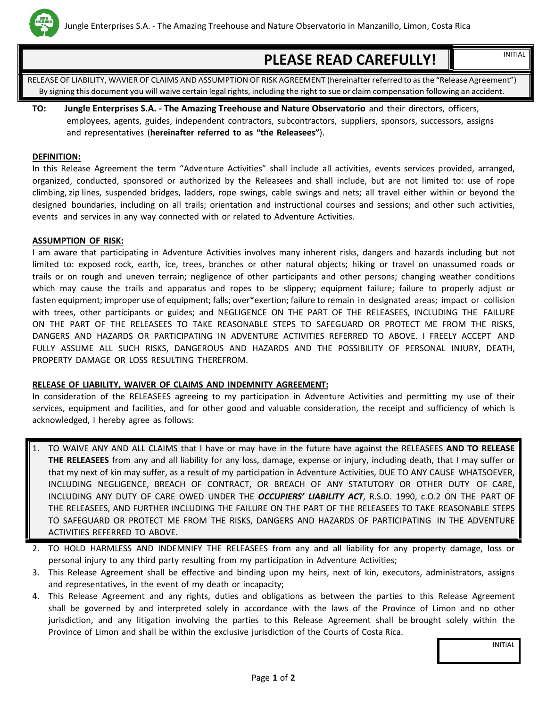

# **PLEASE READ CAREFULLY!** INITIAL

RELEASE OF LIABILITY, WAVIER OF CLAIMS AND ASSUMPTION OF RISK AGREEMENT (hereinafter referred to asthe "Release Agreement") By signing this document you will waive certain legal rights, including the right to sue or claim compensation following an accident.

**TO: Jungle Enterprises S.A. - The Amazing Treehouse and Nature Observatorio** and their directors, officers, employees, agents, guides, independent contractors, subcontractors, suppliers, sponsors, successors, assigns and representatives (**hereinafter referred to as "the Releasees"**).

#### **DEFINITION:**

In this Release Agreement the term "Adventure Activities" shall include all activities, events services provided, arranged, organized, conducted, sponsored or authorized by the Releasees and shall include, but are not limited to: use of rope climbing, zip lines, suspended bridges, ladders, rope swings, cable swings and nets; all travel either within or beyond the designed boundaries, including on all trails; orientation and instructional courses and sessions; and other such activities, events and services in any way connected with or related to Adventure Activities.

#### **ASSUMPTION OF RISK:**

I am aware that participating in Adventure Activities involves many inherent risks, dangers and hazards including but not limited to: exposed rock, earth, ice, trees, branches or other natural objects; hiking or travel on unassumed roads or trails or on rough and uneven terrain; negligence of other participants and other persons; changing weather conditions which may cause the trails and apparatus and ropes to be slippery; equipment failure; failure to properly adjust or fasten equipment; improper use of equipment; falls; over\*exertion; failure to remain in designated areas; impact or collision with trees, other participants or guides; and NEGLIGENCE ON THE PART OF THE RELEASEES, INCLUDING THE FAILURE ON THE PART OF THE RELEASEES TO TAKE REASONABLE STEPS TO SAFEGUARD OR PROTECT ME FROM THE RISKS, DANGERS AND HAZARDS OR PARTICIPATING IN ADVENTURE ACTIVITIES REFERRED TO ABOVE. I FREELY ACCEPT AND FULLY ASSUME ALL SUCH RISKS, DANGEROUS AND HAZARDS AND THE POSSIBILITY OF PERSONAL INJURY, DEATH, PROPERTY DAMAGE OR LOSS RESULTING THEREFROM.

#### **RELEASE OF LIABILITY, WAIVER OF CLAIMS AND INDEMNITY AGREEMENT:**

In consideration of the RELEASEES agreeing to my participation in Adventure Activities and permitting my use of their services, equipment and facilities, and for other good and valuable consideration, the receipt and sufficiency of which is acknowledged, I hereby agree as follows:

- 1. TO WAIVE ANY AND ALL CLAIMS that I have or may have in the future have against the RELEASEES **AND TO RELEASE THE RELEASEES** from any and all liability for any loss, damage, expense or injury, including death, that I may suffer or that my next of kin may suffer, as a result of my participation in Adventure Activities, DUE TO ANY CAUSE WHATSOEVER, INCLUDING NEGLIGENCE, BREACH OF CONTRACT, OR BREACH OF ANY STATUTORY OR OTHER DUTY OF CARE, INCLUDING ANY DUTY OF CARE OWED UNDER THE *OCCUPIERS' LIABILITY ACT*, R.S.O. 1990, c.O.2 ON THE PART OF THE RELEASEES, AND FURTHER INCLUDING THE FAILURE ON THE PART OF THE RELEASEES TO TAKE REASONABLE STEPS TO SAFEGUARD OR PROTECT ME FROM THE RISKS, DANGERS AND HAZARDS OF PARTICIPATING IN THE ADVENTURE ACTIVITIES REFERRED TO ABOVE.
- 2. TO HOLD HARMLESS AND INDEMNIFY THE RELEASEES from any and all liability for any property damage, loss or personal injury to any third party resulting from my participation in Adventure Activities;
- 3. This Release Agreement shall be effective and binding upon my heirs, next of kin, executors, administrators, assigns and representatives, in the event of my death or incapacity;
- 4. This Release Agreement and any rights, duties and obligations as between the parties to this Release Agreement shall be governed by and interpreted solely in accordance with the laws of the Province of Limon and no other jurisdiction, and any litigation involving the parties to this Release Agreement shall be brought solely within the Province of Limon and shall be within the exclusive jurisdiction of the Courts of Costa Rica.

INITIAL